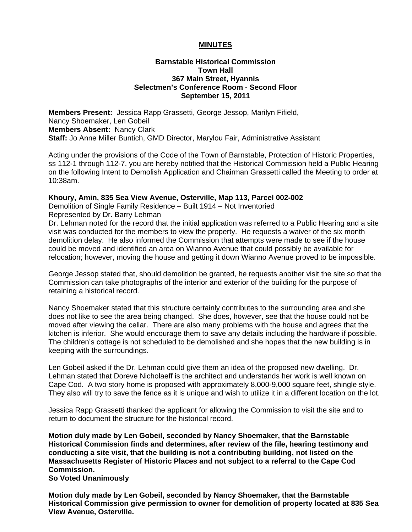## **MINUTES**

## **Barnstable Historical Commission Town Hall 367 Main Street, Hyannis Selectmen's Conference Room - Second Floor September 15, 2011**

**Members Present:** Jessica Rapp Grassetti, George Jessop, Marilyn Fifield, Nancy Shoemaker, Len Gobeil **Members Absent:** Nancy Clark **Staff:** Jo Anne Miller Buntich, GMD Director, Marylou Fair, Administrative Assistant

Acting under the provisions of the Code of the Town of Barnstable, Protection of Historic Properties, ss 112-1 through 112-7, you are hereby notified that the Historical Commission held a Public Hearing on the following Intent to Demolish Application and Chairman Grassetti called the Meeting to order at 10:38am.

#### **Khoury, Amin, 835 Sea View Avenue, Osterville, Map 113, Parcel 002-002**

Demolition of Single Family Residence – Built 1914 – Not Inventoried Represented by Dr. Barry Lehman

Dr. Lehman noted for the record that the initial application was referred to a Public Hearing and a site visit was conducted for the members to view the property. He requests a waiver of the six month demolition delay. He also informed the Commission that attempts were made to see if the house could be moved and identified an area on Wianno Avenue that could possibly be available for relocation; however, moving the house and getting it down Wianno Avenue proved to be impossible.

George Jessop stated that, should demolition be granted, he requests another visit the site so that the Commission can take photographs of the interior and exterior of the building for the purpose of retaining a historical record.

Nancy Shoemaker stated that this structure certainly contributes to the surrounding area and she does not like to see the area being changed. She does, however, see that the house could not be moved after viewing the cellar. There are also many problems with the house and agrees that the kitchen is inferior. She would encourage them to save any details including the hardware if possible. The children's cottage is not scheduled to be demolished and she hopes that the new building is in keeping with the surroundings.

Len Gobeil asked if the Dr. Lehman could give them an idea of the proposed new dwelling. Dr. Lehman stated that Doreve Nicholaeff is the architect and understands her work is well known on Cape Cod. A two story home is proposed with approximately 8,000-9,000 square feet, shingle style. They also will try to save the fence as it is unique and wish to utilize it in a different location on the lot.

Jessica Rapp Grassetti thanked the applicant for allowing the Commission to visit the site and to return to document the structure for the historical record.

**Motion duly made by Len Gobeil, seconded by Nancy Shoemaker, that the Barnstable Historical Commission finds and determines, after review of the file, hearing testimony and conducting a site visit, that the building is not a contributing building, not listed on the Massachusetts Register of Historic Places and not subject to a referral to the Cape Cod Commission.** 

**So Voted Unanimously** 

**Motion duly made by Len Gobeil, seconded by Nancy Shoemaker, that the Barnstable Historical Commission give permission to owner for demolition of property located at 835 Sea View Avenue, Osterville.**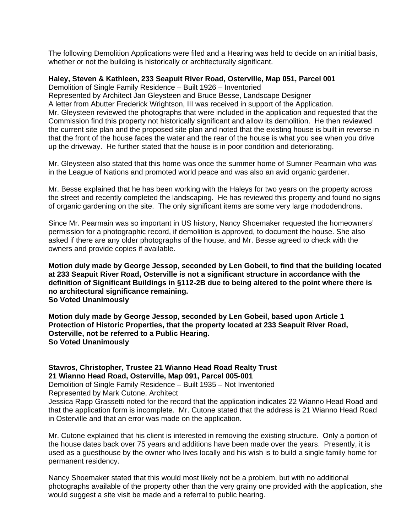The following Demolition Applications were filed and a Hearing was held to decide on an initial basis, whether or not the building is historically or architecturally significant.

## **Haley, Steven & Kathleen, 233 Seapuit River Road, Osterville, Map 051, Parcel 001**

Demolition of Single Family Residence – Built 1926 – Inventoried

Represented by Architect Jan Gleysteen and Bruce Besse, Landscape Designer A letter from Abutter Frederick Wrightson, III was received in support of the Application. Mr. Gleysteen reviewed the photographs that were included in the application and requested that the Commission find this property not historically significant and allow its demolition. He then reviewed the current site plan and the proposed site plan and noted that the existing house is built in reverse in that the front of the house faces the water and the rear of the house is what you see when you drive up the driveway. He further stated that the house is in poor condition and deteriorating.

Mr. Gleysteen also stated that this home was once the summer home of Sumner Pearmain who was in the League of Nations and promoted world peace and was also an avid organic gardener.

Mr. Besse explained that he has been working with the Haleys for two years on the property across the street and recently completed the landscaping. He has reviewed this property and found no signs of organic gardening on the site. The only significant items are some very large rhododendrons.

Since Mr. Pearmain was so important in US history, Nancy Shoemaker requested the homeowners' permission for a photographic record, if demolition is approved, to document the house. She also asked if there are any older photographs of the house, and Mr. Besse agreed to check with the owners and provide copies if available.

**Motion duly made by George Jessop, seconded by Len Gobeil, to find that the building located at 233 Seapuit River Road, Osterville is not a significant structure in accordance with the definition of Significant Buildings in §112-2B due to being altered to the point where there is no architectural significance remaining. So Voted Unanimously** 

**Motion duly made by George Jessop, seconded by Len Gobeil, based upon Article 1 Protection of Historic Properties, that the property located at 233 Seapuit River Road, Osterville, not be referred to a Public Hearing. So Voted Unanimously** 

**Stavros, Christopher, Trustee 21 Wianno Head Road Realty Trust 21 Wianno Head Road, Osterville, Map 091, Parcel 005-001** 

Demolition of Single Family Residence – Built 1935 – Not Inventoried

Represented by Mark Cutone, Architect

Jessica Rapp Grassetti noted for the record that the application indicates 22 Wianno Head Road and that the application form is incomplete. Mr. Cutone stated that the address is 21 Wianno Head Road in Osterville and that an error was made on the application.

Mr. Cutone explained that his client is interested in removing the existing structure. Only a portion of the house dates back over 75 years and additions have been made over the years. Presently, it is used as a guesthouse by the owner who lives locally and his wish is to build a single family home for permanent residency.

Nancy Shoemaker stated that this would most likely not be a problem, but with no additional photographs available of the property other than the very grainy one provided with the application, she would suggest a site visit be made and a referral to public hearing.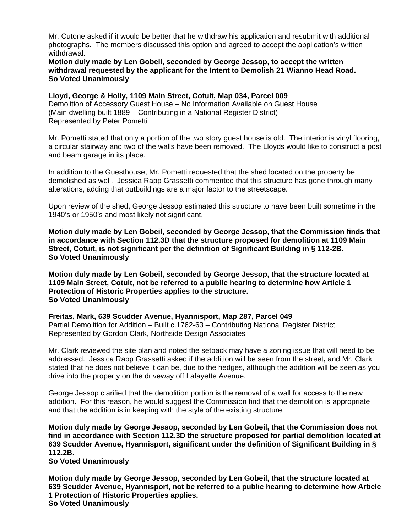Mr. Cutone asked if it would be better that he withdraw his application and resubmit with additional photographs. The members discussed this option and agreed to accept the application's written withdrawal.

## **Motion duly made by Len Gobeil, seconded by George Jessop, to accept the written withdrawal requested by the applicant for the Intent to Demolish 21 Wianno Head Road. So Voted Unanimously**

# **Lloyd, George & Holly, 1109 Main Street, Cotuit, Map 034, Parcel 009**

Demolition of Accessory Guest House – No Information Available on Guest House (Main dwelling built 1889 – Contributing in a National Register District) Represented by Peter Pometti

Mr. Pometti stated that only a portion of the two story guest house is old. The interior is vinyl flooring, a circular stairway and two of the walls have been removed. The Lloyds would like to construct a post and beam garage in its place.

In addition to the Guesthouse, Mr. Pometti requested that the shed located on the property be demolished as well. Jessica Rapp Grassetti commented that this structure has gone through many alterations, adding that outbuildings are a major factor to the streetscape.

Upon review of the shed, George Jessop estimated this structure to have been built sometime in the 1940's or 1950's and most likely not significant.

**Motion duly made by Len Gobeil, seconded by George Jessop, that the Commission finds that in accordance with Section 112.3D that the structure proposed for demolition at 1109 Main Street, Cotuit, is not significant per the definition of Significant Building in § 112-2B. So Voted Unanimously** 

**Motion duly made by Len Gobeil, seconded by George Jessop, that the structure located at 1109 Main Street, Cotuit, not be referred to a public hearing to determine how Article 1 Protection of Historic Properties applies to the structure. So Voted Unanimously** 

# **Freitas, Mark, 639 Scudder Avenue, Hyannisport, Map 287, Parcel 049**

Partial Demolition for Addition – Built c.1762-63 – Contributing National Register District Represented by Gordon Clark, Northside Design Associates

Mr. Clark reviewed the site plan and noted the setback may have a zoning issue that will need to be addressed. Jessica Rapp Grassetti asked if the addition will be seen from the street**,** and Mr. Clark stated that he does not believe it can be, due to the hedges, although the addition will be seen as you drive into the property on the driveway off Lafayette Avenue.

George Jessop clarified that the demolition portion is the removal of a wall for access to the new addition. For this reason, he would suggest the Commission find that the demolition is appropriate and that the addition is in keeping with the style of the existing structure.

**Motion duly made by George Jessop, seconded by Len Gobeil, that the Commission does not find in accordance with Section 112.3D the structure proposed for partial demolition located at 639 Scudder Avenue, Hyannisport, significant under the definition of Significant Building in § 112.2B.** 

**So Voted Unanimously** 

**Motion duly made by George Jessop, seconded by Len Gobeil, that the structure located at 639 Scudder Avenue, Hyannisport, not be referred to a public hearing to determine how Article 1 Protection of Historic Properties applies. So Voted Unanimously**